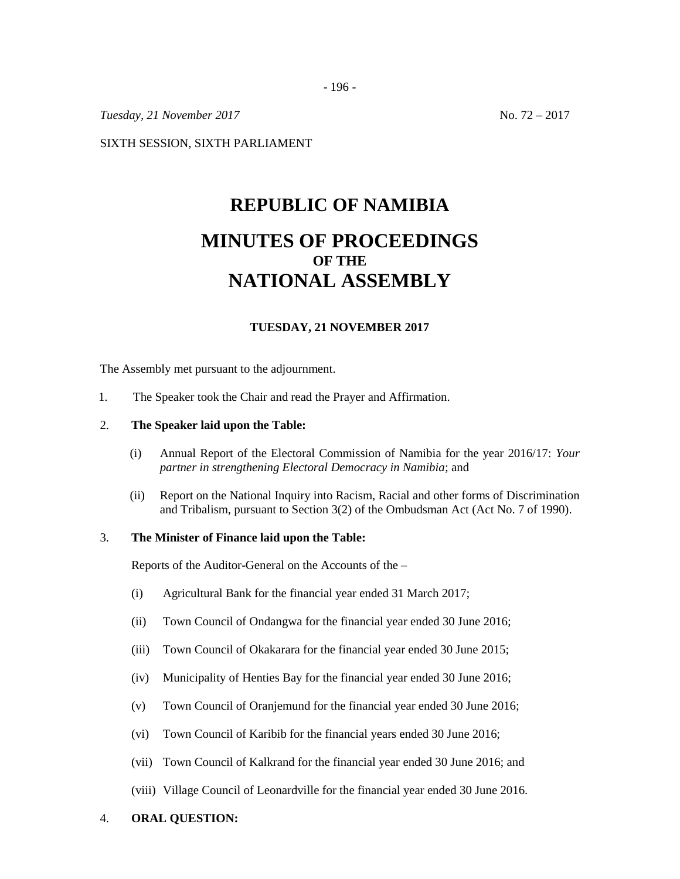- 196 -

*Tuesday,* 21 *November* 2017 No. 72 – 2017

SIXTH SESSION, SIXTH PARLIAMENT

# **REPUBLIC OF NAMIBIA MINUTES OF PROCEEDINGS OF THE NATIONAL ASSEMBLY**

## **TUESDAY, 21 NOVEMBER 2017**

The Assembly met pursuant to the adjournment.

1. The Speaker took the Chair and read the Prayer and Affirmation.

#### 2. **The Speaker laid upon the Table:**

- (i) Annual Report of the Electoral Commission of Namibia for the year 2016/17: *Your partner in strengthening Electoral Democracy in Namibia*; and
- (ii) Report on the National Inquiry into Racism, Racial and other forms of Discrimination and Tribalism, pursuant to Section 3(2) of the Ombudsman Act (Act No. 7 of 1990).

## 3. **The Minister of Finance laid upon the Table:**

Reports of the Auditor-General on the Accounts of the –

- (i) Agricultural Bank for the financial year ended 31 March 2017;
- (ii) Town Council of Ondangwa for the financial year ended 30 June 2016;
- (iii) Town Council of Okakarara for the financial year ended 30 June 2015;
- (iv) Municipality of Henties Bay for the financial year ended 30 June 2016;
- (v) Town Council of Oranjemund for the financial year ended 30 June 2016;
- (vi) Town Council of Karibib for the financial years ended 30 June 2016;
- (vii) Town Council of Kalkrand for the financial year ended 30 June 2016; and
- (viii) Village Council of Leonardville for the financial year ended 30 June 2016.
- 4. **ORAL QUESTION:**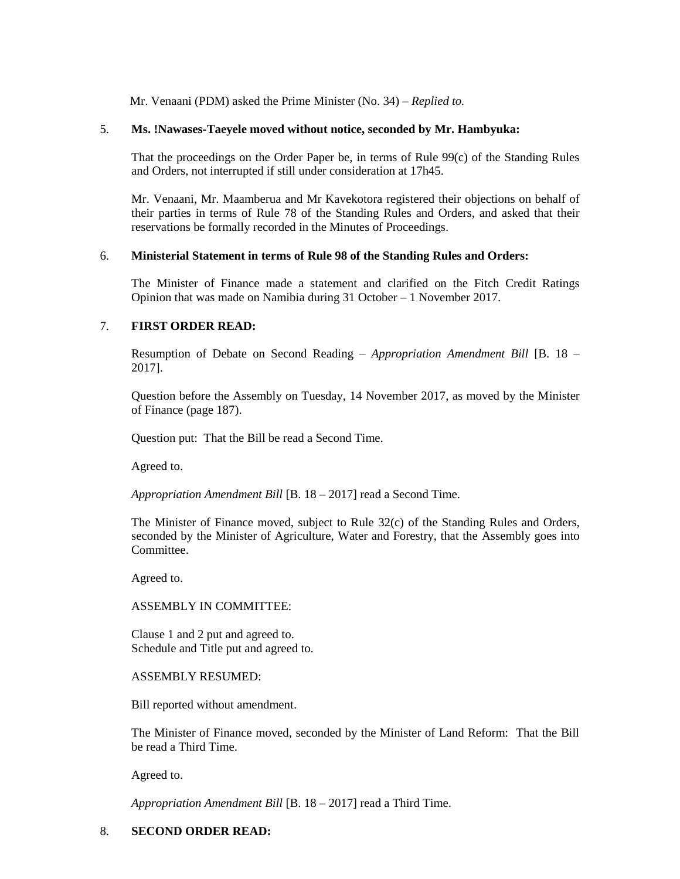Mr. Venaani (PDM) asked the Prime Minister (No. 34) – *Replied to.*

## 5. **Ms. !Nawases-Taeyele moved without notice, seconded by Mr. Hambyuka:**

That the proceedings on the Order Paper be, in terms of Rule 99(c) of the Standing Rules and Orders, not interrupted if still under consideration at 17h45.

Mr. Venaani, Mr. Maamberua and Mr Kavekotora registered their objections on behalf of their parties in terms of Rule 78 of the Standing Rules and Orders, and asked that their reservations be formally recorded in the Minutes of Proceedings.

## 6. **Ministerial Statement in terms of Rule 98 of the Standing Rules and Orders:**

The Minister of Finance made a statement and clarified on the Fitch Credit Ratings Opinion that was made on Namibia during 31 October – 1 November 2017.

## 7. **FIRST ORDER READ:**

Resumption of Debate on Second Reading – *Appropriation Amendment Bill* [B. 18 – 2017].

Question before the Assembly on Tuesday, 14 November 2017, as moved by the Minister of Finance (page 187).

Question put: That the Bill be read a Second Time.

Agreed to.

*Appropriation Amendment Bill* [B. 18 – 2017] read a Second Time.

The Minister of Finance moved, subject to Rule 32(c) of the Standing Rules and Orders, seconded by the Minister of Agriculture, Water and Forestry, that the Assembly goes into Committee.

Agreed to.

#### ASSEMBLY IN COMMITTEE:

Clause 1 and 2 put and agreed to. Schedule and Title put and agreed to.

## ASSEMBLY RESUMED:

Bill reported without amendment.

The Minister of Finance moved, seconded by the Minister of Land Reform: That the Bill be read a Third Time.

Agreed to.

*Appropriation Amendment Bill* [B. 18 – 2017] read a Third Time.

## 8. **SECOND ORDER READ:**